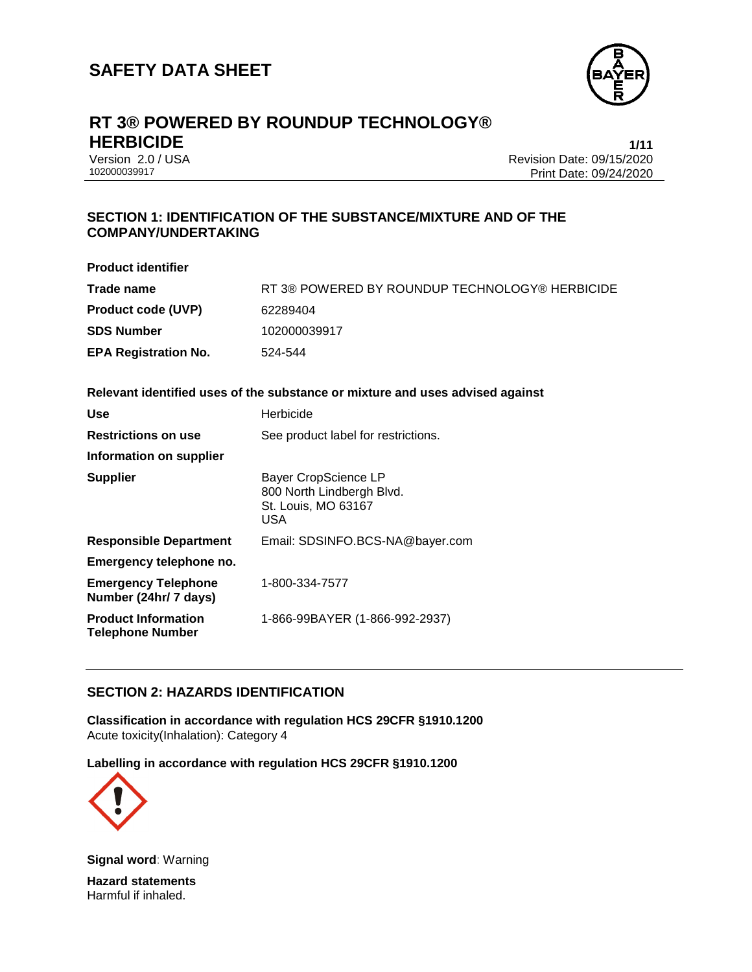

# **RT 3® POWERED BY ROUNDUP TECHNOLOGY® HERBICIDE 1/11**

Version 2.0 / USA Revision Date: 09/15/2020 Print Date: 09/24/2020

#### **SECTION 1: IDENTIFICATION OF THE SUBSTANCE/MIXTURE AND OF THE COMPANY/UNDERTAKING**

| <b>Product identifier</b>                             |                                                                                               |
|-------------------------------------------------------|-----------------------------------------------------------------------------------------------|
| Trade name                                            | RT 3® POWERED BY ROUNDUP TECHNOLOGY® HERBICIDE                                                |
| <b>Product code (UVP)</b>                             | 62289404                                                                                      |
| <b>SDS Number</b>                                     | 102000039917                                                                                  |
| <b>EPA Registration No.</b>                           | 524-544                                                                                       |
|                                                       | Relevant identified uses of the substance or mixture and uses advised against                 |
| <b>Use</b>                                            | Herbicide                                                                                     |
| <b>Restrictions on use</b>                            | See product label for restrictions.                                                           |
| Information on supplier                               |                                                                                               |
| <b>Supplier</b>                                       | <b>Bayer CropScience LP</b><br>800 North Lindbergh Blvd.<br>St. Louis, MO 63167<br><b>USA</b> |
| <b>Responsible Department</b>                         | Email: SDSINFO.BCS-NA@bayer.com                                                               |
| Emergency telephone no.                               |                                                                                               |
| <b>Emergency Telephone</b><br>Number (24hr/ 7 days)   | 1-800-334-7577                                                                                |
| <b>Product Information</b><br><b>Telephone Number</b> | 1-866-99BAYER (1-866-992-2937)                                                                |
|                                                       |                                                                                               |

### **SECTION 2: HAZARDS IDENTIFICATION**

**Classification in accordance with regulation HCS 29CFR §1910.1200** Acute toxicity(Inhalation): Category 4

**Labelling in accordance with regulation HCS 29CFR §1910.1200**



**Signal word**: Warning

**Hazard statements** Harmful if inhaled.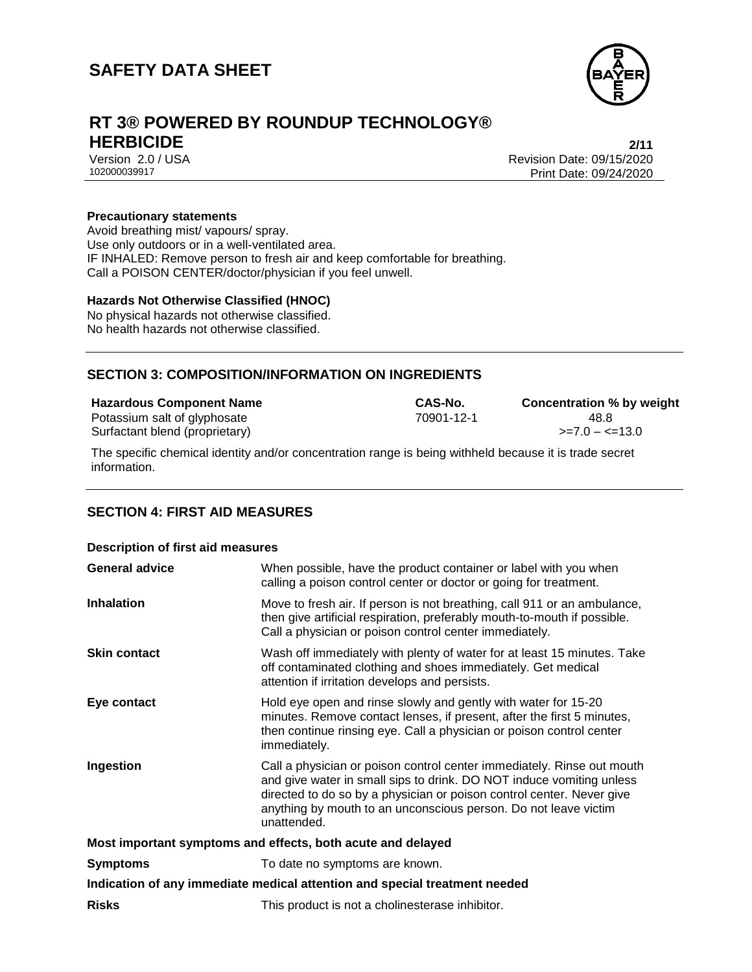

# **RT 3® POWERED BY ROUNDUP TECHNOLOGY® HERBICIDE 2/11**

Version 2.0 / USA Revision Date: 09/15/2020<br>102000039917<br>Print Date: 09/24/2020 Print Date: 09/24/2020

#### **Precautionary statements**

Avoid breathing mist/ vapours/ spray. Use only outdoors or in a well-ventilated area. IF INHALED: Remove person to fresh air and keep comfortable for breathing. Call a POISON CENTER/doctor/physician if you feel unwell.

#### **Hazards Not Otherwise Classified (HNOC)**

No physical hazards not otherwise classified. No health hazards not otherwise classified.

#### **SECTION 3: COMPOSITION/INFORMATION ON INGREDIENTS**

| <b>Hazardous Component Name</b> | <b>CAS-No.</b> | <b>Concentration % by weight</b> |
|---------------------------------|----------------|----------------------------------|
| Potassium salt of glyphosate    | 70901-12-1     | 48.8                             |
| Surfactant blend (proprietary)  |                | $\ge$ = 7.0 – $\lt$ = 13.0       |

The specific chemical identity and/or concentration range is being withheld because it is trade secret information.

#### **SECTION 4: FIRST AID MEASURES**

| <b>Description of first aid measures</b>                                   |                                                                                                                                                                                                                                                                                                           |  |
|----------------------------------------------------------------------------|-----------------------------------------------------------------------------------------------------------------------------------------------------------------------------------------------------------------------------------------------------------------------------------------------------------|--|
| <b>General advice</b>                                                      | When possible, have the product container or label with you when<br>calling a poison control center or doctor or going for treatment.                                                                                                                                                                     |  |
| <b>Inhalation</b>                                                          | Move to fresh air. If person is not breathing, call 911 or an ambulance,<br>then give artificial respiration, preferably mouth-to-mouth if possible.<br>Call a physician or poison control center immediately.                                                                                            |  |
| <b>Skin contact</b>                                                        | Wash off immediately with plenty of water for at least 15 minutes. Take<br>off contaminated clothing and shoes immediately. Get medical<br>attention if irritation develops and persists.                                                                                                                 |  |
| Eye contact                                                                | Hold eye open and rinse slowly and gently with water for 15-20<br>minutes. Remove contact lenses, if present, after the first 5 minutes,<br>then continue rinsing eye. Call a physician or poison control center<br>immediately.                                                                          |  |
| Ingestion                                                                  | Call a physician or poison control center immediately. Rinse out mouth<br>and give water in small sips to drink. DO NOT induce vomiting unless<br>directed to do so by a physician or poison control center. Never give<br>anything by mouth to an unconscious person. Do not leave victim<br>unattended. |  |
| Most important symptoms and effects, both acute and delayed                |                                                                                                                                                                                                                                                                                                           |  |
| <b>Symptoms</b>                                                            | To date no symptoms are known.                                                                                                                                                                                                                                                                            |  |
| Indication of any immediate medical attention and special treatment needed |                                                                                                                                                                                                                                                                                                           |  |
| <b>Risks</b>                                                               | This product is not a cholinesterase inhibitor.                                                                                                                                                                                                                                                           |  |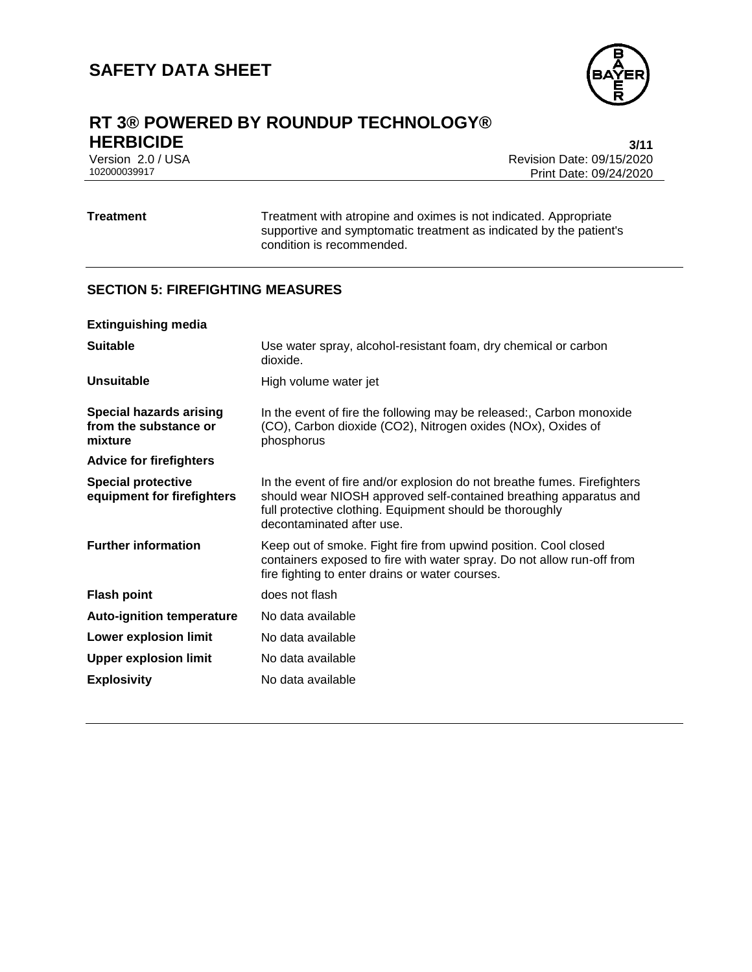

# **RT 3® POWERED BY ROUNDUP TECHNOLOGY®**

**HERBICIDE** 3/11<br>Version 2.0 / USA 3/12 and 2.0 and 2.0 and 2.0 and 3.0 and 3.0 and 3.0 and 3.0 and 3.0 and 3.0 and 3.0 and 3.0 Version 2.0 / USA Revision Date: 09/15/2020 Print Date: 09/24/2020

**Treatment** Treatment with atropine and oximes is not indicated. Appropriate supportive and symptomatic treatment as indicated by the patient's condition is recommended.

#### **SECTION 5: FIREFIGHTING MEASURES**

| <b>Extinguishing media</b>                                         |                                                                                                                                                                                                                                        |
|--------------------------------------------------------------------|----------------------------------------------------------------------------------------------------------------------------------------------------------------------------------------------------------------------------------------|
| <b>Suitable</b>                                                    | Use water spray, alcohol-resistant foam, dry chemical or carbon<br>dioxide.                                                                                                                                                            |
| <b>Unsuitable</b>                                                  | High volume water jet                                                                                                                                                                                                                  |
| <b>Special hazards arising</b><br>from the substance or<br>mixture | In the event of fire the following may be released:, Carbon monoxide<br>(CO), Carbon dioxide (CO2), Nitrogen oxides (NOx), Oxides of<br>phosphorus                                                                                     |
| <b>Advice for firefighters</b>                                     |                                                                                                                                                                                                                                        |
| <b>Special protective</b><br>equipment for firefighters            | In the event of fire and/or explosion do not breathe fumes. Firefighters<br>should wear NIOSH approved self-contained breathing apparatus and<br>full protective clothing. Equipment should be thoroughly<br>decontaminated after use. |
| <b>Further information</b>                                         | Keep out of smoke. Fight fire from upwind position. Cool closed<br>containers exposed to fire with water spray. Do not allow run-off from<br>fire fighting to enter drains or water courses.                                           |
| <b>Flash point</b>                                                 | does not flash                                                                                                                                                                                                                         |
| <b>Auto-ignition temperature</b>                                   | No data available                                                                                                                                                                                                                      |
| Lower explosion limit                                              | No data available                                                                                                                                                                                                                      |
| <b>Upper explosion limit</b>                                       | No data available                                                                                                                                                                                                                      |
| <b>Explosivity</b>                                                 | No data available                                                                                                                                                                                                                      |
|                                                                    |                                                                                                                                                                                                                                        |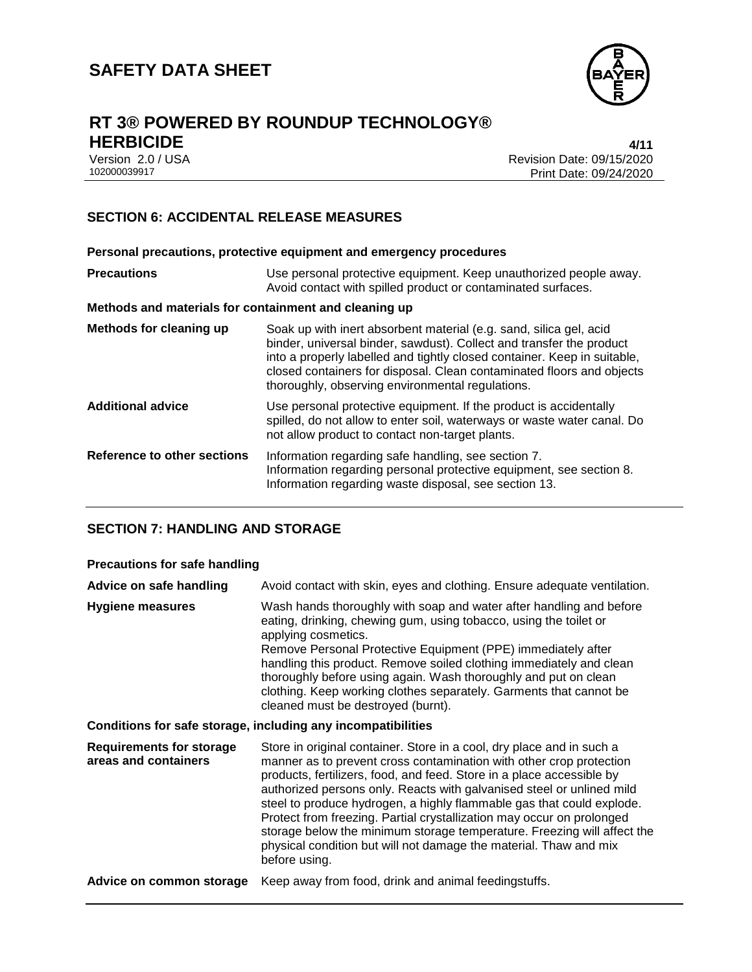

# **RT 3® POWERED BY ROUNDUP TECHNOLOGY® HERBICIDE** 4/11<br>Version 2.0 / USA 4/12 and the set of the set of the set of the set of the set of the set of the set of the set of the set of the set of the set of the set of the set of the set of the set of the set of th

Version 2.0 / USA Revision Date: 09/15/2020 Print Date: 09/24/2020

### **SECTION 6: ACCIDENTAL RELEASE MEASURES**

| Personal precautions, protective equipment and emergency procedures |                                                                                                                                                                                                                                                                                                                                                     |  |
|---------------------------------------------------------------------|-----------------------------------------------------------------------------------------------------------------------------------------------------------------------------------------------------------------------------------------------------------------------------------------------------------------------------------------------------|--|
| <b>Precautions</b>                                                  | Use personal protective equipment. Keep unauthorized people away.<br>Avoid contact with spilled product or contaminated surfaces.                                                                                                                                                                                                                   |  |
| Methods and materials for containment and cleaning up               |                                                                                                                                                                                                                                                                                                                                                     |  |
| Methods for cleaning up                                             | Soak up with inert absorbent material (e.g. sand, silica gel, acid<br>binder, universal binder, sawdust). Collect and transfer the product<br>into a properly labelled and tightly closed container. Keep in suitable,<br>closed containers for disposal. Clean contaminated floors and objects<br>thoroughly, observing environmental regulations. |  |
| <b>Additional advice</b>                                            | Use personal protective equipment. If the product is accidentally<br>spilled, do not allow to enter soil, waterways or waste water canal. Do<br>not allow product to contact non-target plants.                                                                                                                                                     |  |
| Reference to other sections                                         | Information regarding safe handling, see section 7.<br>Information regarding personal protective equipment, see section 8.<br>Information regarding waste disposal, see section 13.                                                                                                                                                                 |  |

#### **SECTION 7: HANDLING AND STORAGE**

#### **Precautions for safe handling**

| Advice on safe handling                                      | Avoid contact with skin, eyes and clothing. Ensure adequate ventilation.                                                                                                                                                                                                                                                                                                                                                                                                                                                                                                                                          |  |
|--------------------------------------------------------------|-------------------------------------------------------------------------------------------------------------------------------------------------------------------------------------------------------------------------------------------------------------------------------------------------------------------------------------------------------------------------------------------------------------------------------------------------------------------------------------------------------------------------------------------------------------------------------------------------------------------|--|
| <b>Hygiene measures</b>                                      | Wash hands thoroughly with soap and water after handling and before<br>eating, drinking, chewing gum, using tobacco, using the toilet or<br>applying cosmetics.<br>Remove Personal Protective Equipment (PPE) immediately after<br>handling this product. Remove soiled clothing immediately and clean<br>thoroughly before using again. Wash thoroughly and put on clean<br>clothing. Keep working clothes separately. Garments that cannot be<br>cleaned must be destroyed (burnt).                                                                                                                             |  |
| Conditions for safe storage, including any incompatibilities |                                                                                                                                                                                                                                                                                                                                                                                                                                                                                                                                                                                                                   |  |
| <b>Requirements for storage</b><br>areas and containers      | Store in original container. Store in a cool, dry place and in such a<br>manner as to prevent cross contamination with other crop protection<br>products, fertilizers, food, and feed. Store in a place accessible by<br>authorized persons only. Reacts with galvanised steel or unlined mild<br>steel to produce hydrogen, a highly flammable gas that could explode.<br>Protect from freezing. Partial crystallization may occur on prolonged<br>storage below the minimum storage temperature. Freezing will affect the<br>physical condition but will not damage the material. Thaw and mix<br>before using. |  |
| Advice on common storage                                     | Keep away from food, drink and animal feedingstuffs.                                                                                                                                                                                                                                                                                                                                                                                                                                                                                                                                                              |  |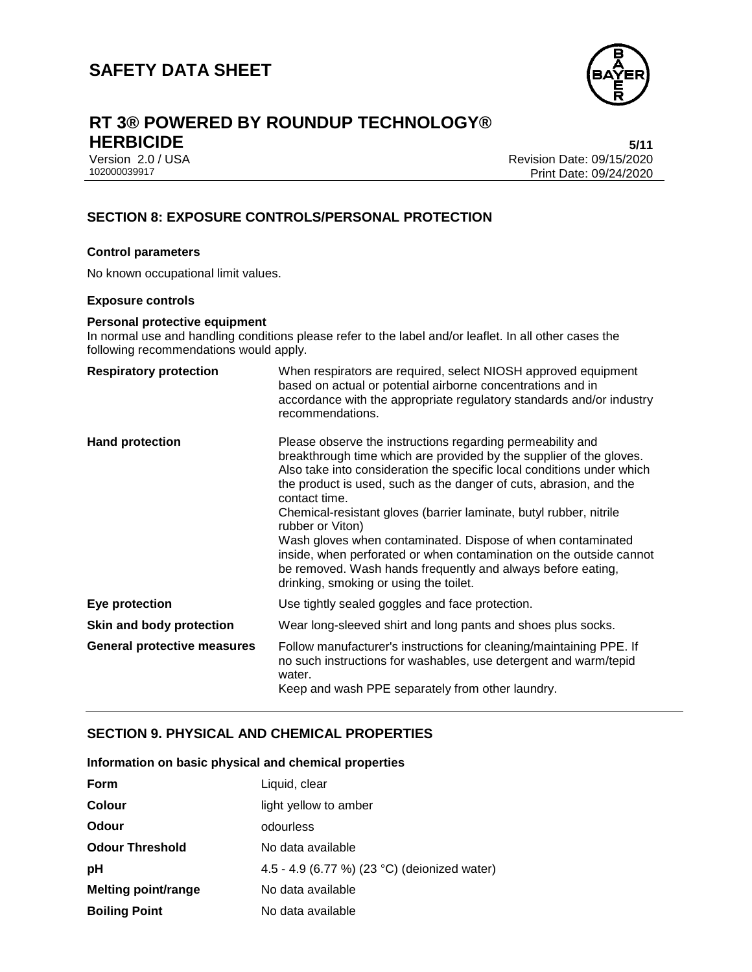

# **RT 3® POWERED BY ROUNDUP TECHNOLOGY® HERBICIDE 5/11**

Version 2.0 / USA Revision Date: 09/15/2020 Print Date: 09/24/2020

### **SECTION 8: EXPOSURE CONTROLS/PERSONAL PROTECTION**

#### **Control parameters**

No known occupational limit values.

#### **Exposure controls**

#### **Personal protective equipment**

In normal use and handling conditions please refer to the label and/or leaflet. In all other cases the following recommendations would apply.

| <b>Respiratory protection</b>      | When respirators are required, select NIOSH approved equipment<br>based on actual or potential airborne concentrations and in<br>accordance with the appropriate regulatory standards and/or industry<br>recommendations.                                                                                                                                                                                                                                                                                                                                                                                                                   |
|------------------------------------|---------------------------------------------------------------------------------------------------------------------------------------------------------------------------------------------------------------------------------------------------------------------------------------------------------------------------------------------------------------------------------------------------------------------------------------------------------------------------------------------------------------------------------------------------------------------------------------------------------------------------------------------|
| <b>Hand protection</b>             | Please observe the instructions regarding permeability and<br>breakthrough time which are provided by the supplier of the gloves.<br>Also take into consideration the specific local conditions under which<br>the product is used, such as the danger of cuts, abrasion, and the<br>contact time.<br>Chemical-resistant gloves (barrier laminate, butyl rubber, nitrile<br>rubber or Viton)<br>Wash gloves when contaminated. Dispose of when contaminated<br>inside, when perforated or when contamination on the outside cannot<br>be removed. Wash hands frequently and always before eating,<br>drinking, smoking or using the toilet. |
| Eye protection                     | Use tightly sealed goggles and face protection.                                                                                                                                                                                                                                                                                                                                                                                                                                                                                                                                                                                             |
| Skin and body protection           | Wear long-sleeved shirt and long pants and shoes plus socks.                                                                                                                                                                                                                                                                                                                                                                                                                                                                                                                                                                                |
| <b>General protective measures</b> | Follow manufacturer's instructions for cleaning/maintaining PPE. If<br>no such instructions for washables, use detergent and warm/tepid<br>water.<br>Keep and wash PPE separately from other laundry.                                                                                                                                                                                                                                                                                                                                                                                                                                       |

#### **SECTION 9. PHYSICAL AND CHEMICAL PROPERTIES**

| Information on basic physical and chemical properties |  |  |  |  |
|-------------------------------------------------------|--|--|--|--|
|-------------------------------------------------------|--|--|--|--|

| <b>Form</b>                | Liquid, clear                                |
|----------------------------|----------------------------------------------|
| Colour                     | light yellow to amber                        |
| <b>Odour</b>               | odourless                                    |
| <b>Odour Threshold</b>     | No data available                            |
| рH                         | 4.5 - 4.9 (6.77 %) (23 °C) (deionized water) |
| <b>Melting point/range</b> | No data available                            |
| <b>Boiling Point</b>       | No data available                            |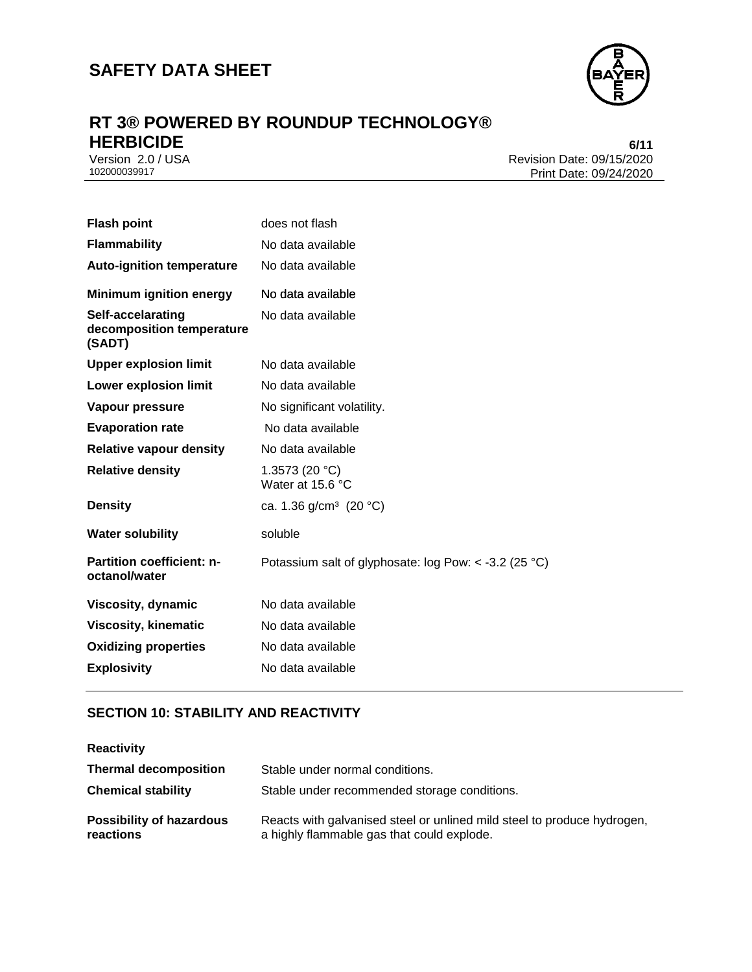

# **RT 3® POWERED BY ROUNDUP TECHNOLOGY® HERBICIDE** 6/11<br>Version 2.0 / USA 6/11<br>Revision Date: 09/15/2020

Version 2.0 / USA Revision Date: 09/15/2020<br>102000039917 Print Date: 09/24/2020 Print Date: 09/24/2020

| <b>Flash point</b>                                       | does not flash                                        |
|----------------------------------------------------------|-------------------------------------------------------|
| <b>Flammability</b>                                      | No data available                                     |
| <b>Auto-ignition temperature</b>                         | No data available                                     |
| <b>Minimum ignition energy</b>                           | No data available                                     |
| Self-accelarating<br>decomposition temperature<br>(SADT) | No data available                                     |
| <b>Upper explosion limit</b>                             | No data available                                     |
| Lower explosion limit                                    | No data available                                     |
| <b>Vapour pressure</b>                                   | No significant volatility.                            |
| <b>Evaporation rate</b>                                  | No data available                                     |
| <b>Relative vapour density</b>                           | No data available                                     |
| <b>Relative density</b>                                  | 1.3573 (20 °C)<br>Water at 15.6 °C                    |
| <b>Density</b>                                           | ca. 1.36 $g/cm^3$ (20 °C)                             |
| <b>Water solubility</b>                                  | soluble                                               |
| Partition coefficient: n-<br>octanol/water               | Potassium salt of glyphosate: log Pow: < -3.2 (25 °C) |
| Viscosity, dynamic                                       | No data available                                     |
| <b>Viscosity, kinematic</b>                              | No data available                                     |
| <b>Oxidizing properties</b>                              | No data available                                     |
| <b>Explosivity</b>                                       | No data available                                     |

## **SECTION 10: STABILITY AND REACTIVITY**

| <b>Reactivity</b>                            |                                                                                                                       |
|----------------------------------------------|-----------------------------------------------------------------------------------------------------------------------|
| <b>Thermal decomposition</b>                 | Stable under normal conditions.                                                                                       |
| <b>Chemical stability</b>                    | Stable under recommended storage conditions.                                                                          |
| <b>Possibility of hazardous</b><br>reactions | Reacts with galvanised steel or unlined mild steel to produce hydrogen,<br>a highly flammable gas that could explode. |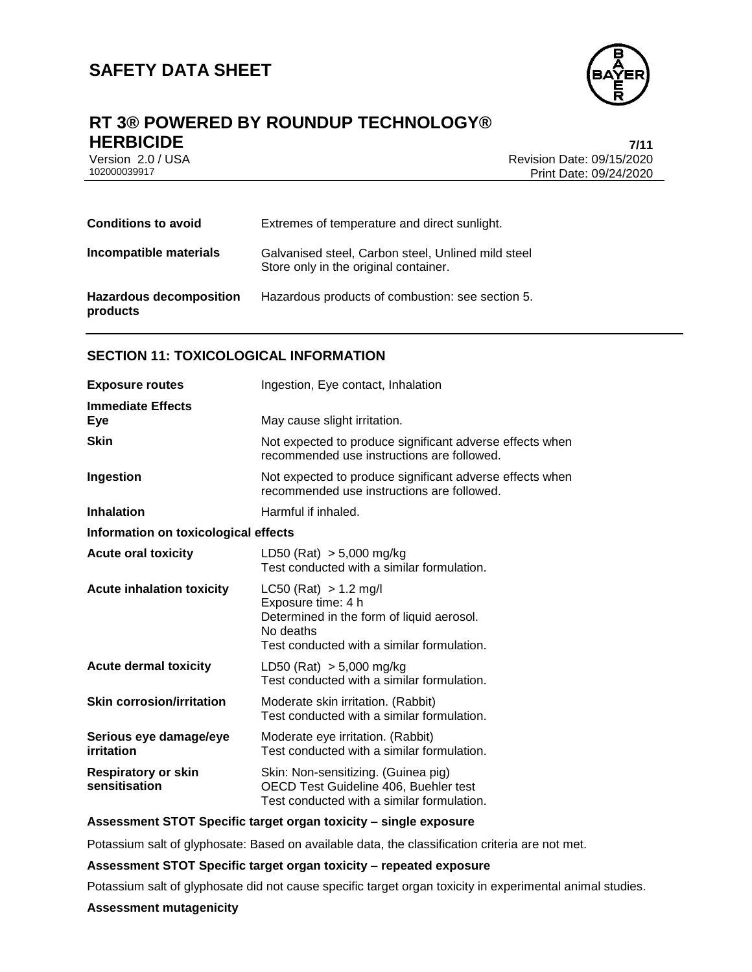

## **RT 3® POWERED BY ROUNDUP TECHNOLOGY® HERBICIDE 7/11**

Version 2.0 / USA Revision Date: 09/15/2020<br>102000039917<br>Print Date: 09/24/2020 Print Date: 09/24/2020

| <b>Conditions to avoid</b>                 | Extremes of temperature and direct sunlight.                                                |
|--------------------------------------------|---------------------------------------------------------------------------------------------|
| Incompatible materials                     | Galvanised steel, Carbon steel, Unlined mild steel<br>Store only in the original container. |
| <b>Hazardous decomposition</b><br>products | Hazardous products of combustion: see section 5.                                            |

#### **SECTION 11: TOXICOLOGICAL INFORMATION**

| <b>Exposure routes</b>                      | Ingestion, Eye contact, Inhalation                                                                                                                      |  |  |
|---------------------------------------------|---------------------------------------------------------------------------------------------------------------------------------------------------------|--|--|
| <b>Immediate Effects</b><br>Eye             | May cause slight irritation.                                                                                                                            |  |  |
| <b>Skin</b>                                 | Not expected to produce significant adverse effects when<br>recommended use instructions are followed.                                                  |  |  |
| Ingestion                                   | Not expected to produce significant adverse effects when<br>recommended use instructions are followed.                                                  |  |  |
| <b>Inhalation</b>                           | Harmful if inhaled.                                                                                                                                     |  |  |
| Information on toxicological effects        |                                                                                                                                                         |  |  |
| <b>Acute oral toxicity</b>                  | LD50 (Rat) $> 5,000$ mg/kg<br>Test conducted with a similar formulation.                                                                                |  |  |
| <b>Acute inhalation toxicity</b>            | $LC50$ (Rat) $> 1.2$ mg/l<br>Exposure time: 4 h<br>Determined in the form of liquid aerosol.<br>No deaths<br>Test conducted with a similar formulation. |  |  |
| <b>Acute dermal toxicity</b>                | LD50 (Rat) $> 5,000$ mg/kg<br>Test conducted with a similar formulation.                                                                                |  |  |
| <b>Skin corrosion/irritation</b>            | Moderate skin irritation. (Rabbit)<br>Test conducted with a similar formulation.                                                                        |  |  |
| Serious eye damage/eye<br>irritation        | Moderate eye irritation. (Rabbit)<br>Test conducted with a similar formulation.                                                                         |  |  |
| <b>Respiratory or skin</b><br>sensitisation | Skin: Non-sensitizing. (Guinea pig)<br>OECD Test Guideline 406, Buehler test<br>Test conducted with a similar formulation.                              |  |  |

#### **Assessment STOT Specific target organ toxicity – single exposure**

Potassium salt of glyphosate: Based on available data, the classification criteria are not met.

#### **Assessment STOT Specific target organ toxicity – repeated exposure**

Potassium salt of glyphosate did not cause specific target organ toxicity in experimental animal studies.

#### **Assessment mutagenicity**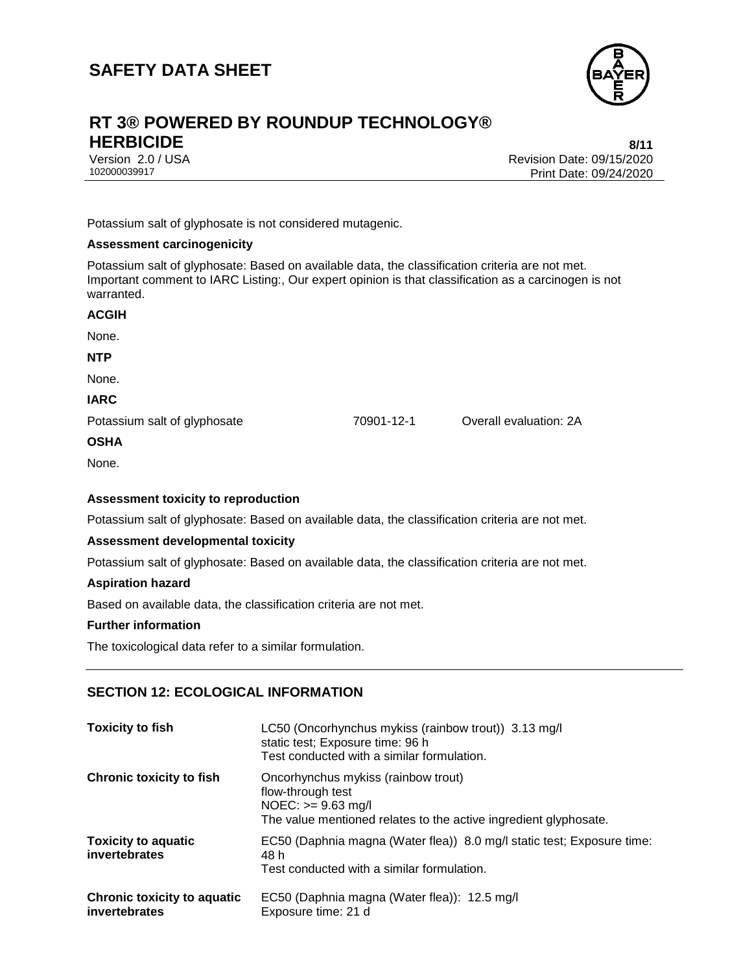

# **RT 3® POWERED BY ROUNDUP TECHNOLOGY® HERBICIDE 8/11**

Version 2.0 / USA Revision Date: 09/15/2020<br>102000039917<br>Print Date: 09/24/2020 Print Date: 09/24/2020

Potassium salt of glyphosate is not considered mutagenic.

#### **Assessment carcinogenicity**

Potassium salt of glyphosate: Based on available data, the classification criteria are not met. Important comment to IARC Listing:, Our expert opinion is that classification as a carcinogen is not warranted.

| <b>ACGIH</b>                 |            |                        |
|------------------------------|------------|------------------------|
| None.                        |            |                        |
| <b>NTP</b>                   |            |                        |
| None.                        |            |                        |
| <b>IARC</b>                  |            |                        |
| Potassium salt of glyphosate | 70901-12-1 | Overall evaluation: 2A |
| <b>OSHA</b>                  |            |                        |
| None.                        |            |                        |

#### **Assessment toxicity to reproduction**

Potassium salt of glyphosate: Based on available data, the classification criteria are not met.

#### **Assessment developmental toxicity**

Potassium salt of glyphosate: Based on available data, the classification criteria are not met.

#### **Aspiration hazard**

Based on available data, the classification criteria are not met.

#### **Further information**

The toxicological data refer to a similar formulation.

#### **SECTION 12: ECOLOGICAL INFORMATION**

| <b>Toxicity to fish</b>                             | LC50 (Oncorhynchus mykiss (rainbow trout)) 3.13 mg/l<br>static test; Exposure time: 96 h<br>Test conducted with a similar formulation.                 |
|-----------------------------------------------------|--------------------------------------------------------------------------------------------------------------------------------------------------------|
| <b>Chronic toxicity to fish</b>                     | Oncorhynchus mykiss (rainbow trout)<br>flow-through test<br>$NOEC: \geq 9.63$ mg/l<br>The value mentioned relates to the active ingredient glyphosate. |
| <b>Toxicity to aquatic</b><br>invertebrates         | EC50 (Daphnia magna (Water flea)) 8.0 mg/l static test; Exposure time:<br>48 h<br>Test conducted with a similar formulation.                           |
| <b>Chronic toxicity to aquatic</b><br>invertebrates | EC50 (Daphnia magna (Water flea)): 12.5 mg/l<br>Exposure time: 21 d                                                                                    |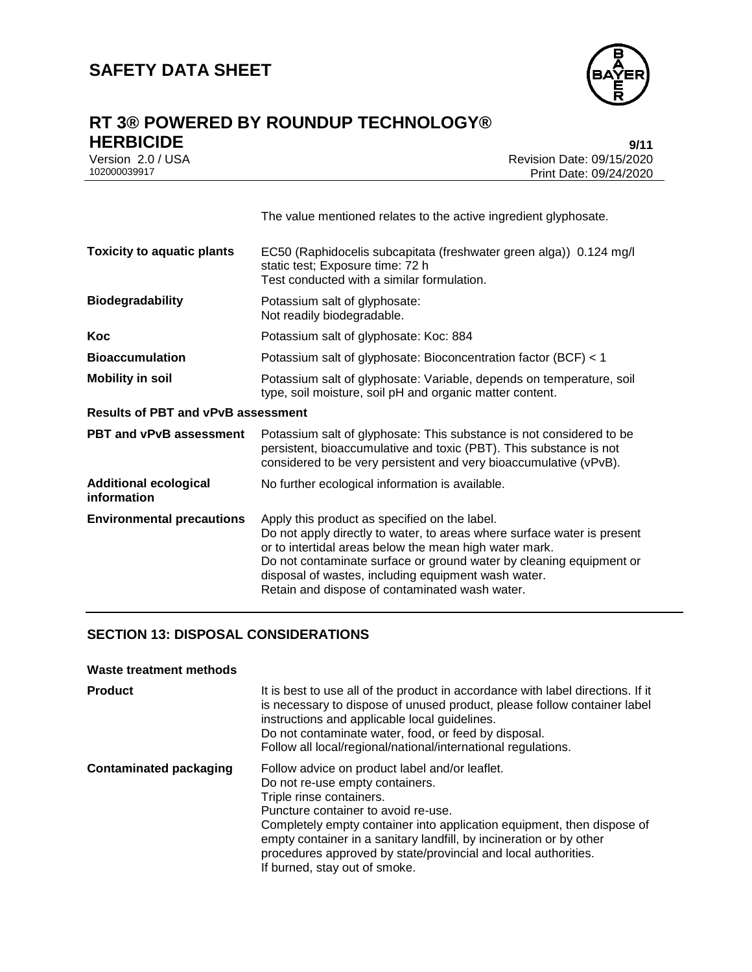

### **RT 3® POWERED BY ROUNDUP TECHNOLOGY® HERBICIDE 9/11**

| IILINDIVIDL       | 9711                      |
|-------------------|---------------------------|
| Version 2.0 / USA | Revision Date: 09/15/2020 |
| 102000039917      | Print Date: 09/24/2020    |

|                                             | The value mentioned relates to the active ingredient glyphosate.                                                                                                                                                                                                                                                                                                   |  |
|---------------------------------------------|--------------------------------------------------------------------------------------------------------------------------------------------------------------------------------------------------------------------------------------------------------------------------------------------------------------------------------------------------------------------|--|
| <b>Toxicity to aquatic plants</b>           | EC50 (Raphidocelis subcapitata (freshwater green alga)) 0.124 mg/l<br>static test; Exposure time: 72 h<br>Test conducted with a similar formulation.                                                                                                                                                                                                               |  |
| <b>Biodegradability</b>                     | Potassium salt of glyphosate:<br>Not readily biodegradable.                                                                                                                                                                                                                                                                                                        |  |
| Koc                                         | Potassium salt of glyphosate: Koc: 884                                                                                                                                                                                                                                                                                                                             |  |
| <b>Bioaccumulation</b>                      | Potassium salt of glyphosate: Bioconcentration factor (BCF) < 1                                                                                                                                                                                                                                                                                                    |  |
| <b>Mobility in soil</b>                     | Potassium salt of glyphosate: Variable, depends on temperature, soil<br>type, soil moisture, soil pH and organic matter content.                                                                                                                                                                                                                                   |  |
| <b>Results of PBT and vPvB assessment</b>   |                                                                                                                                                                                                                                                                                                                                                                    |  |
| <b>PBT and vPvB assessment</b>              | Potassium salt of glyphosate: This substance is not considered to be<br>persistent, bioaccumulative and toxic (PBT). This substance is not<br>considered to be very persistent and very bioaccumulative (vPvB).                                                                                                                                                    |  |
| <b>Additional ecological</b><br>information | No further ecological information is available.                                                                                                                                                                                                                                                                                                                    |  |
| <b>Environmental precautions</b>            | Apply this product as specified on the label.<br>Do not apply directly to water, to areas where surface water is present<br>or to intertidal areas below the mean high water mark.<br>Do not contaminate surface or ground water by cleaning equipment or<br>disposal of wastes, including equipment wash water.<br>Retain and dispose of contaminated wash water. |  |

#### **SECTION 13: DISPOSAL CONSIDERATIONS**

#### **Waste treatment methods**

| <b>Product</b>                | It is best to use all of the product in accordance with label directions. If it<br>is necessary to dispose of unused product, please follow container label<br>instructions and applicable local guidelines.<br>Do not contaminate water, food, or feed by disposal.<br>Follow all local/regional/national/international regulations.                                                                    |
|-------------------------------|----------------------------------------------------------------------------------------------------------------------------------------------------------------------------------------------------------------------------------------------------------------------------------------------------------------------------------------------------------------------------------------------------------|
| <b>Contaminated packaging</b> | Follow advice on product label and/or leaflet.<br>Do not re-use empty containers.<br>Triple rinse containers.<br>Puncture container to avoid re-use.<br>Completely empty container into application equipment, then dispose of<br>empty container in a sanitary landfill, by incineration or by other<br>procedures approved by state/provincial and local authorities.<br>If burned, stay out of smoke. |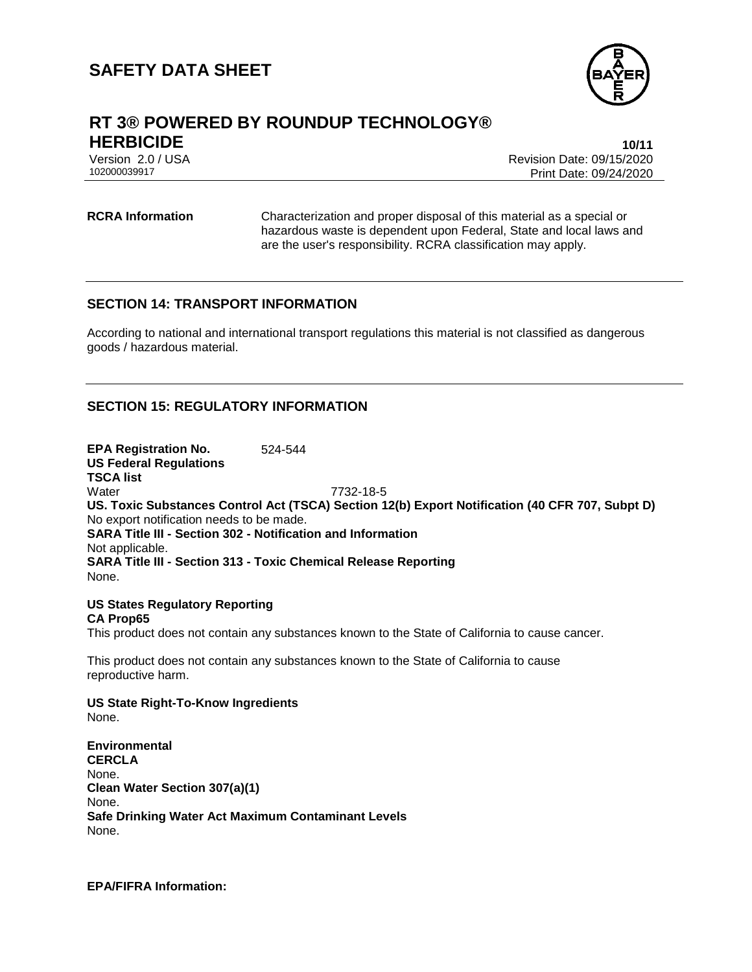

### **RT 3® POWERED BY ROUNDUP TECHNOLOGY® HERBICIDE 10/11**

Version 2.0 / USA Revision Date: 09/15/2020<br>102000039917<br>Revision Date: 09/24/2020 Print Date: 09/24/2020

**RCRA Information** Characterization and proper disposal of this material as a special or hazardous waste is dependent upon Federal, State and local laws and are the user's responsibility. RCRA classification may apply.

#### **SECTION 14: TRANSPORT INFORMATION**

According to national and international transport regulations this material is not classified as dangerous goods / hazardous material.

#### **SECTION 15: REGULATORY INFORMATION**

**EPA Registration No.** 524-544 **US Federal Regulations TSCA list** Water 7732-18-5 **US. Toxic Substances Control Act (TSCA) Section 12(b) Export Notification (40 CFR 707, Subpt D)** No export notification needs to be made. **SARA Title III - Section 302 - Notification and Information** Not applicable. **SARA Title III - Section 313 - Toxic Chemical Release Reporting** None.

#### **US States Regulatory Reporting CA Prop65**

This product does not contain any substances known to the State of California to cause cancer.

This product does not contain any substances known to the State of California to cause reproductive harm.

#### **US State Right-To-Know Ingredients** None.

**Environmental CERCLA** None. **Clean Water Section 307(a)(1)** None. **Safe Drinking Water Act Maximum Contaminant Levels** None.

**EPA/FIFRA Information:**